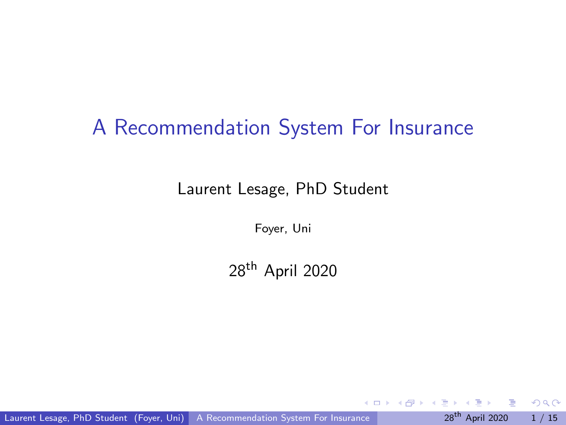# <span id="page-0-0"></span>A Recommendation System For Insurance

Laurent Lesage, PhD Student

Foyer, Uni

28th April 2020

Laurent Lesage, PhD Student (Foyer, Uni) [A Recommendation System For Insurance](#page-31-0) 28<sup>th</sup> April 2020 1 / 15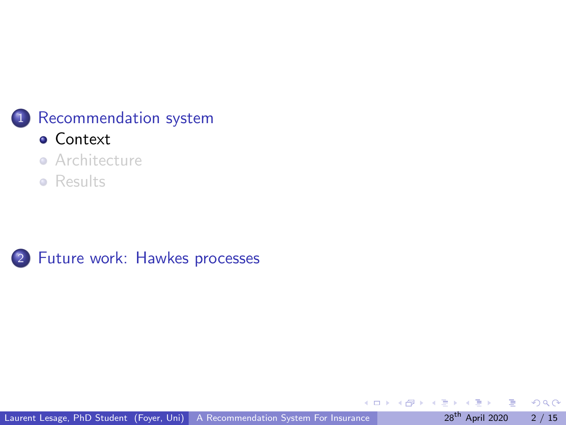#### <span id="page-1-0"></span>1 [Recommendation system](#page-1-0)

- [Context](#page-1-0)
- **•** [Architecture](#page-8-0)
- **•** [Results](#page-12-0)



 $\leftarrow$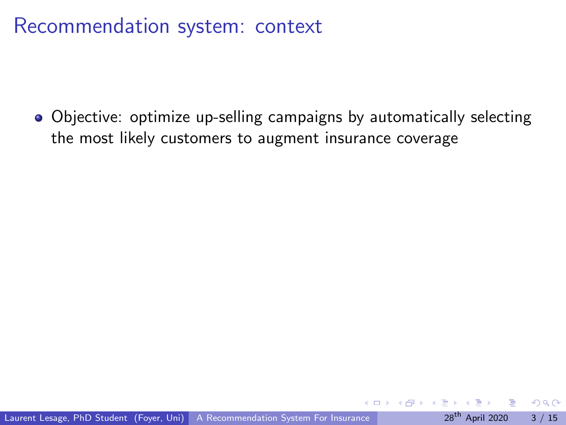Objective: optimize up-selling campaigns by automatically selecting the most likely customers to augment insurance coverage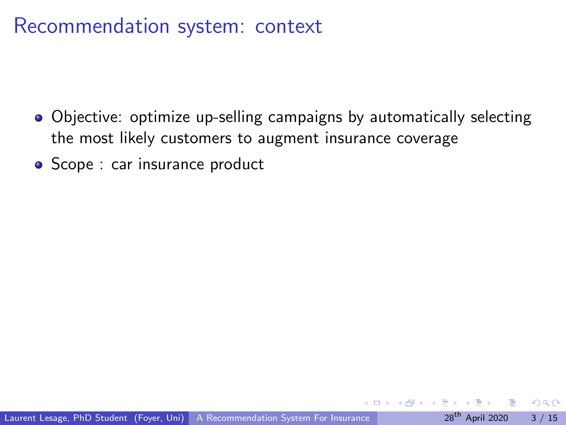- Objective: optimize up-selling campaigns by automatically selecting the most likely customers to augment insurance coverage
- Scope : car insurance product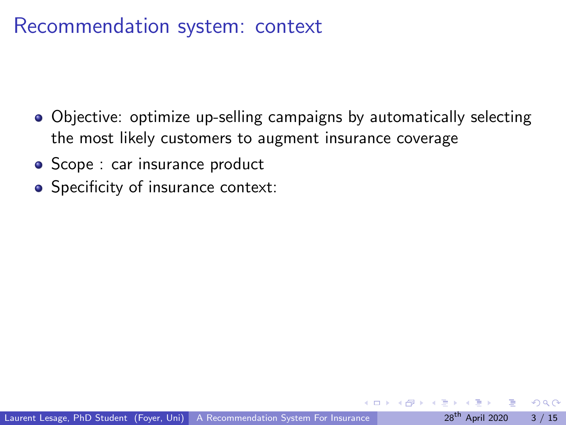- Objective: optimize up-selling campaigns by automatically selecting the most likely customers to augment insurance coverage
- Scope : car insurance product
- Specificity of insurance context: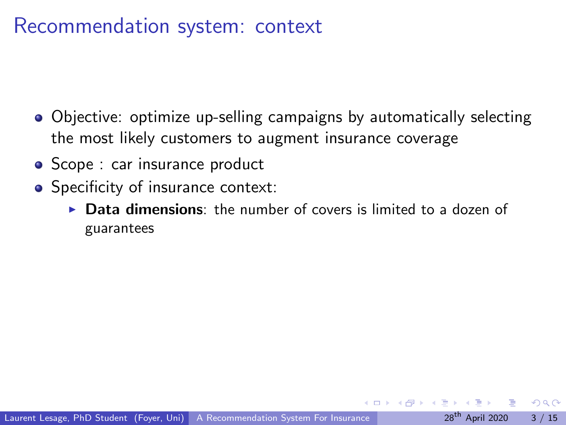- Objective: optimize up-selling campaigns by automatically selecting the most likely customers to augment insurance coverage
- Scope : car insurance product
- Specificity of insurance context:
	- $\triangleright$  Data dimensions: the number of covers is limited to a dozen of guarantees

∽≏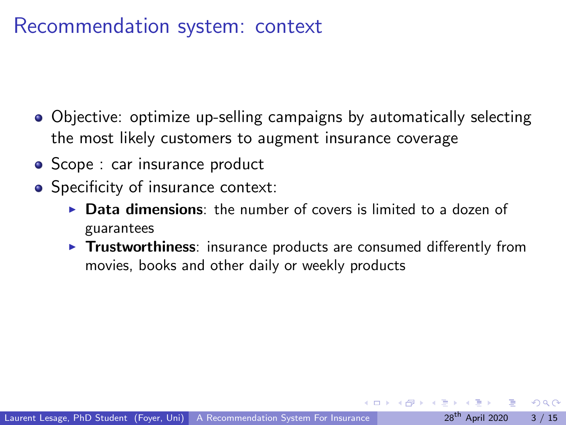- Objective: optimize up-selling campaigns by automatically selecting the most likely customers to augment insurance coverage
- Scope : car insurance product
- Specificity of insurance context:
	- $\triangleright$  Data dimensions: the number of covers is limited to a dozen of guarantees
	- $\triangleright$  Trustworthiness: insurance products are consumed differently from movies, books and other daily or weekly products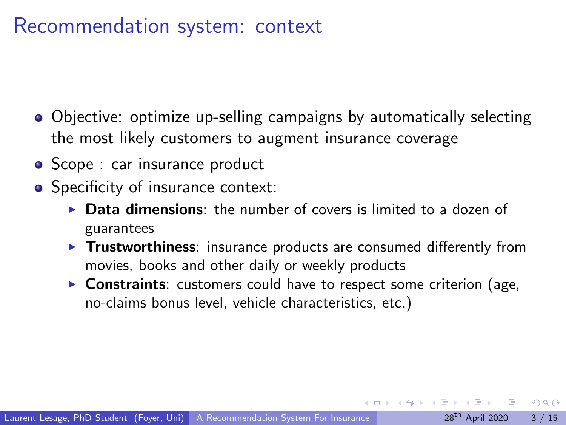- Objective: optimize up-selling campaigns by automatically selecting the most likely customers to augment insurance coverage
- Scope : car insurance product
- Specificity of insurance context:
	- $\triangleright$  Data dimensions: the number of covers is limited to a dozen of guarantees
	- $\triangleright$  Trustworthiness: insurance products are consumed differently from movies, books and other daily or weekly products
	- $\triangleright$  Constraints: customers could have to respect some criterion (age, no-claims bonus level, vehicle characteristics, etc.)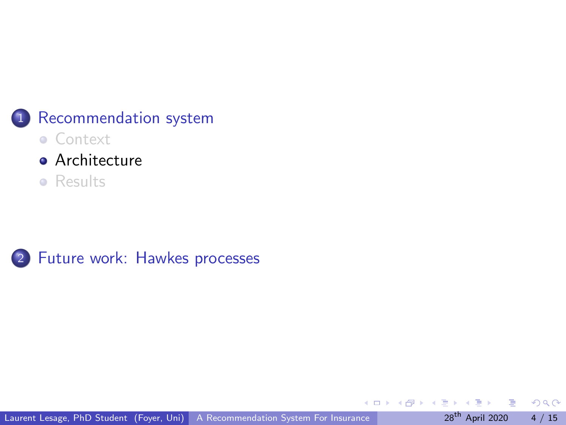<span id="page-8-0"></span>

- [Context](#page-1-0)
- **•** [Architecture](#page-8-0)
- **•** [Results](#page-12-0)



Laurent Lesage, PhD Student (Foyer, Uni) [A Recommendation System For Insurance](#page-0-0) 28<sup>th</sup> April 2020 4 / 15

 $\leftarrow$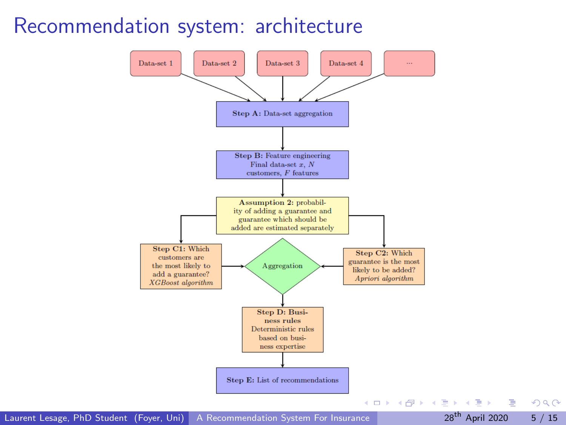### Recommendation system: architecture



Laurent Lesage, PhD Student (Foyer, Uni) [A Recommendation System For Insurance](#page-0-0) 28th April 2020 5 / 15

画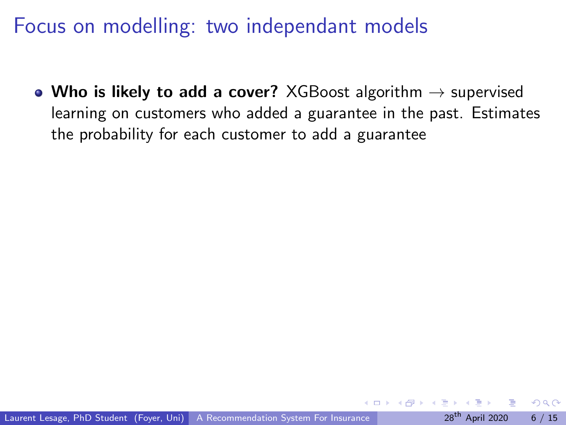Focus on modelling: two independant models

• Who is likely to add a cover? XGBoost algorithm  $\rightarrow$  supervised learning on customers who added a guarantee in the past. Estimates the probability for each customer to add a guarantee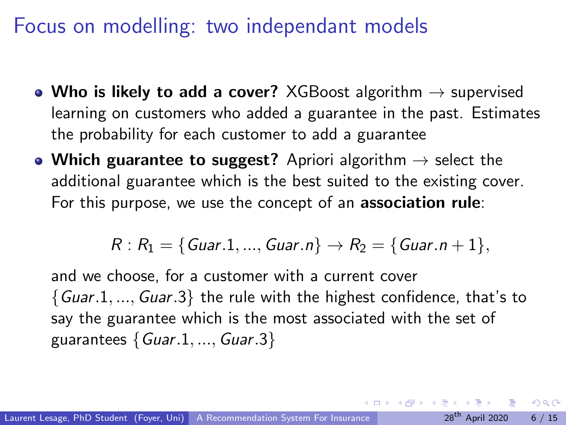Focus on modelling: two independant models

- Who is likely to add a cover? XGBoost algorithm  $\rightarrow$  supervised learning on customers who added a guarantee in the past. Estimates the probability for each customer to add a guarantee
- Which guarantee to suggest? Apriori algorithm  $\rightarrow$  select the additional guarantee which is the best suited to the existing cover. For this purpose, we use the concept of an association rule:

$$
R: R_1 = \{ \text{Guar.1}, ..., \text{Guar.n} \} \rightarrow R_2 = \{ \text{Guar.n} + 1 \},
$$

and we choose, for a customer with a current cover  ${Guar.1,..., Guar.3}$  the rule with the highest confidence, that's to say the guarantee which is the most associated with the set of guarantees  $\{Guar.1, ..., Guar.3\}$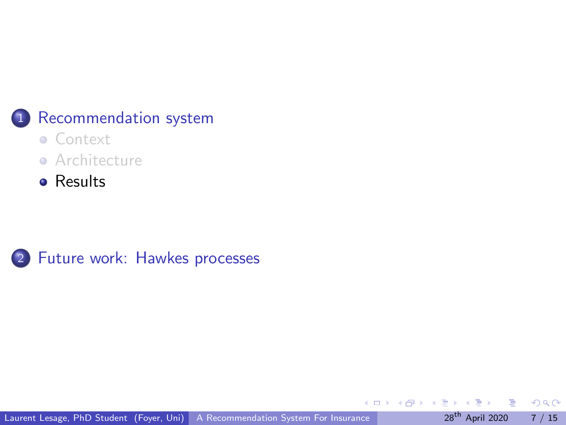<span id="page-12-0"></span>

#### 1 [Recommendation system](#page-1-0)

- [Context](#page-1-0)
- **•** [Architecture](#page-8-0)
- **•** [Results](#page-12-0)



 $\Box$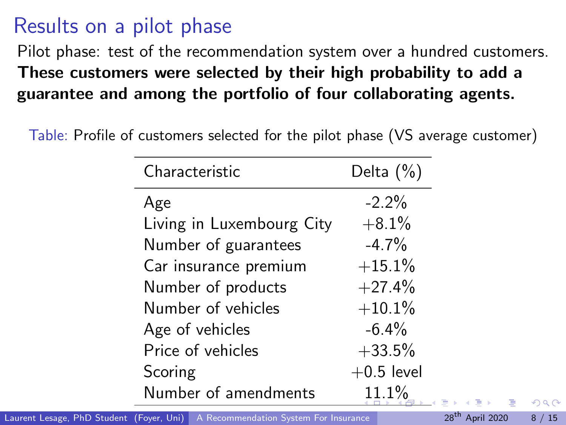# <span id="page-13-0"></span>Results on a pilot phase

Pilot phase: test of the recommendation system over a hundred customers. These customers were selected by their high probability to add a guarantee and among the portfolio of four collaborating agents.

Table: Profile of customers selected for the pilot phase (VS average customer)

| Characteristic            | Delta $(\%)$ |
|---------------------------|--------------|
| Age                       | $-2.2%$      |
| Living in Luxembourg City | $+8.1%$      |
| Number of guarantees      | $-4.7%$      |
| Car insurance premium     | $+15.1%$     |
| Number of products        | $+27.4%$     |
| Number of vehicles        | $+10.1%$     |
| Age of vehicles           | $-6.4%$      |
| Price of vehicles         | $+33.5%$     |
| Scoring                   | $+0.5$ level |
| Number of amendments      | 11.1%        |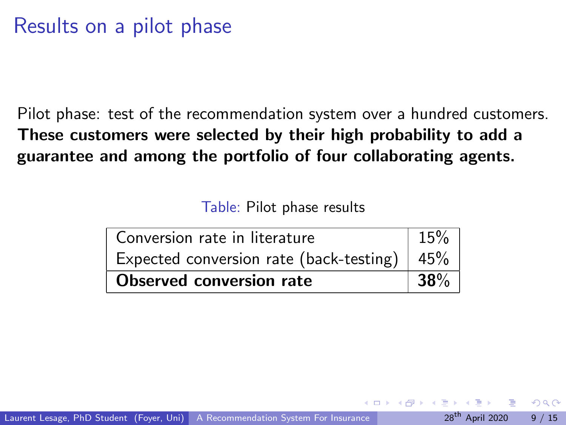### <span id="page-14-0"></span>Results on a pilot phase

Pilot phase: test of the recommendation system over a hundred customers. These customers were selected by their high probability to add a guarantee and among the portfolio of four collaborating agents.

Table: Pilot phase results

| Conversion rate in literature                       | 15% |
|-----------------------------------------------------|-----|
| Expected conversion rate (back-testing) $\mid 45\%$ |     |
| Observed conversion rate                            |     |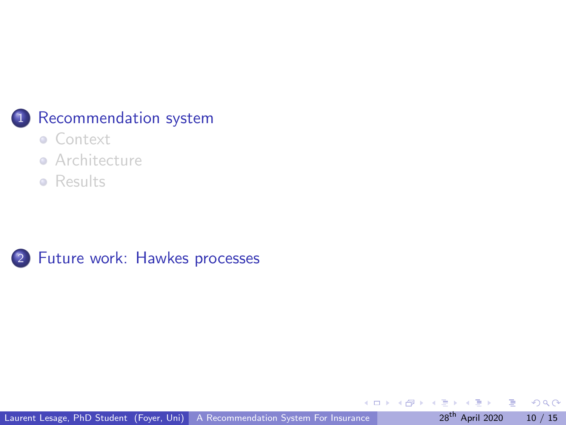<span id="page-15-0"></span>

#### 1 [Recommendation system](#page-1-0)

- [Context](#page-1-0)
- **•** [Architecture](#page-8-0)
- **•** [Results](#page-12-0)



画

 $\leftarrow$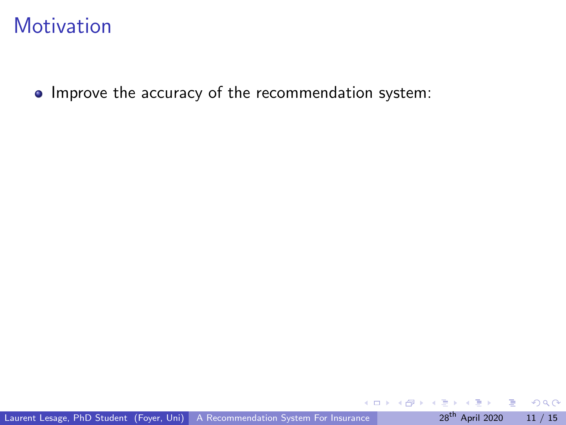• Improve the accuracy of the recommendation system:

 $QQ$ 

 $\leftarrow$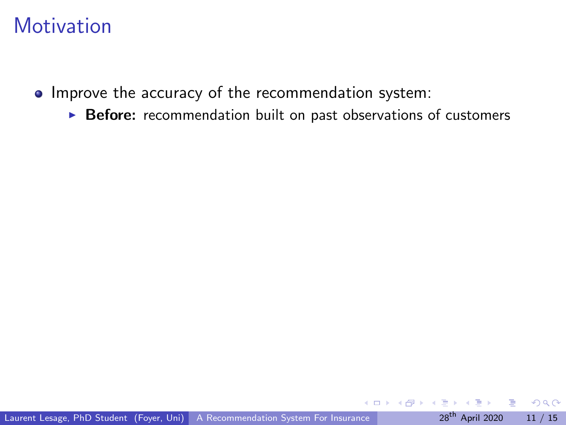- Improve the accuracy of the recommendation system:
	- $\triangleright$  Before: recommendation built on past observations of customers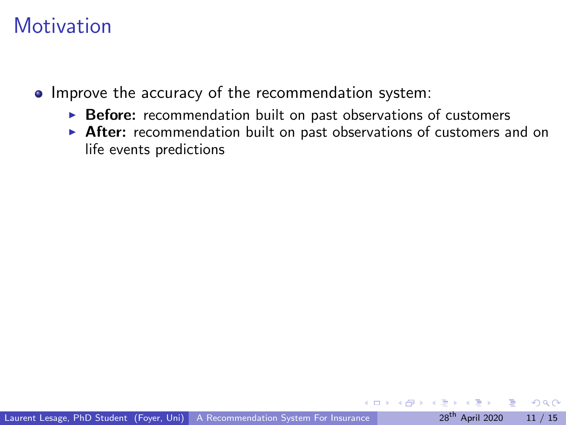- Improve the accuracy of the recommendation system:
	- $\triangleright$  Before: recommendation built on past observations of customers
	- $\triangleright$  After: recommendation built on past observations of customers and on life events predictions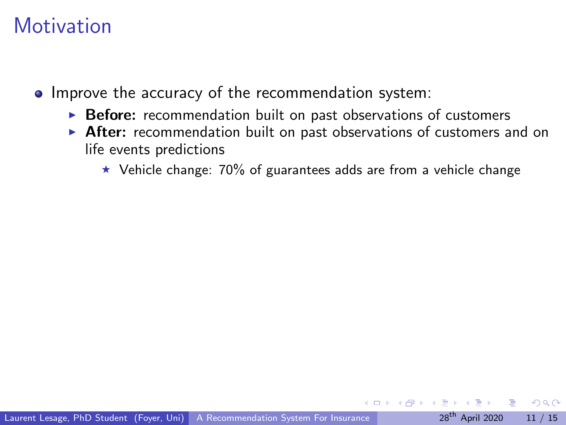- Improve the accuracy of the recommendation system:
	- $\triangleright$  Before: recommendation built on past observations of customers
	- $\triangleright$  After: recommendation built on past observations of customers and on life events predictions
		- $\star$  Vehicle change: 70% of guarantees adds are from a vehicle change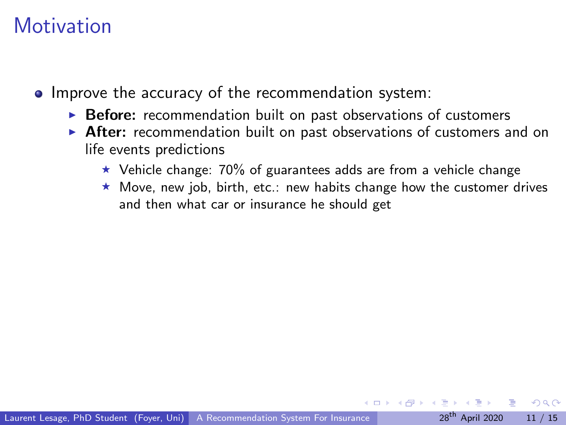- Improve the accuracy of the recommendation system:
	- $\triangleright$  Before: recommendation built on past observations of customers
	- $\triangleright$  After: recommendation built on past observations of customers and on life events predictions
		- $\star$  Vehicle change: 70% of guarantees adds are from a vehicle change
		- $\star$  Move, new job, birth, etc.: new habits change how the customer drives and then what car or insurance he should get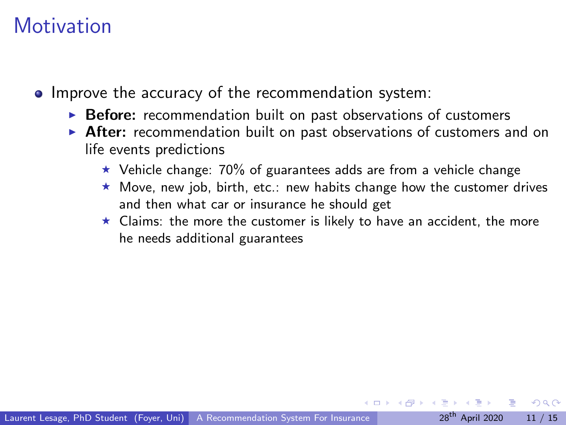- Improve the accuracy of the recommendation system:
	- $\triangleright$  Before: recommendation built on past observations of customers
	- $\triangleright$  After: recommendation built on past observations of customers and on life events predictions
		- $\star$  Vehicle change: 70% of guarantees adds are from a vehicle change
		- $\star$  Move, new job, birth, etc.: new habits change how the customer drives and then what car or insurance he should get
		- $\star$  Claims: the more the customer is likely to have an accident, the more he needs additional guarantees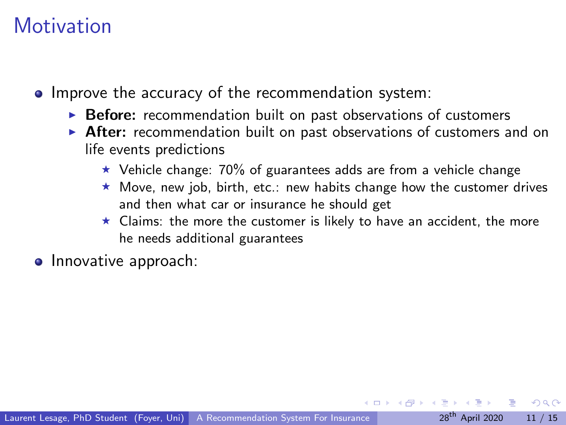- Improve the accuracy of the recommendation system:
	- $\triangleright$  Before: recommendation built on past observations of customers
	- $\triangleright$  After: recommendation built on past observations of customers and on life events predictions
		- $\star$  Vehicle change: 70% of guarantees adds are from a vehicle change
		- $\star$  Move, new job, birth, etc.: new habits change how the customer drives and then what car or insurance he should get
		- $\star$  Claims: the more the customer is likely to have an accident, the more he needs additional guarantees
- **o** Innovative approach: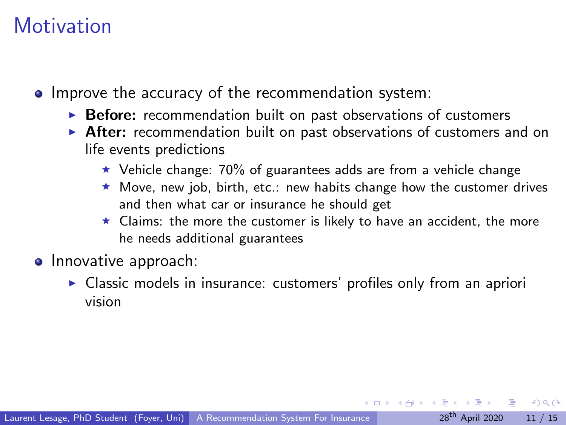- Improve the accuracy of the recommendation system:
	- $\triangleright$  Before: recommendation built on past observations of customers
	- $\triangleright$  After: recommendation built on past observations of customers and on life events predictions
		- $\star$  Vehicle change: 70% of guarantees adds are from a vehicle change
		- $\star$  Move, new job, birth, etc.: new habits change how the customer drives and then what car or insurance he should get
		- $\star$  Claims: the more the customer is likely to have an accident, the more he needs additional guarantees
- **o** Innovative approach:
	- $\triangleright$  Classic models in insurance: customers' profiles only from an apriori vision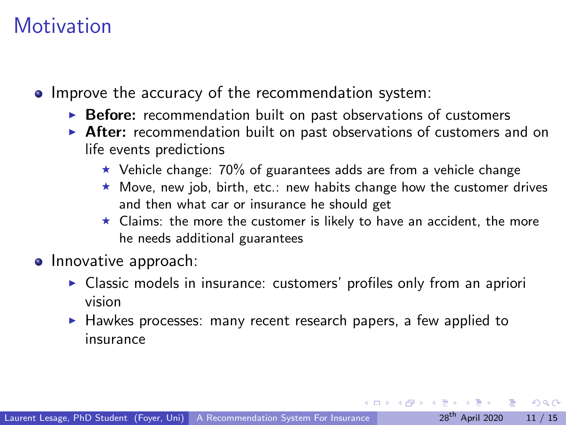- Improve the accuracy of the recommendation system:
	- $\triangleright$  Before: recommendation built on past observations of customers
	- $\triangleright$  After: recommendation built on past observations of customers and on life events predictions
		- $\star$  Vehicle change: 70% of guarantees adds are from a vehicle change
		- $\star$  Move, new job, birth, etc.: new habits change how the customer drives and then what car or insurance he should get
		- $\star$  Claims: the more the customer is likely to have an accident, the more he needs additional guarantees
- **o** Innovative approach:
	- $\triangleright$  Classic models in insurance: customers' profiles only from an apriori vision
	- $\blacktriangleright$  Hawkes processes: many recent research papers, a few applied to insurance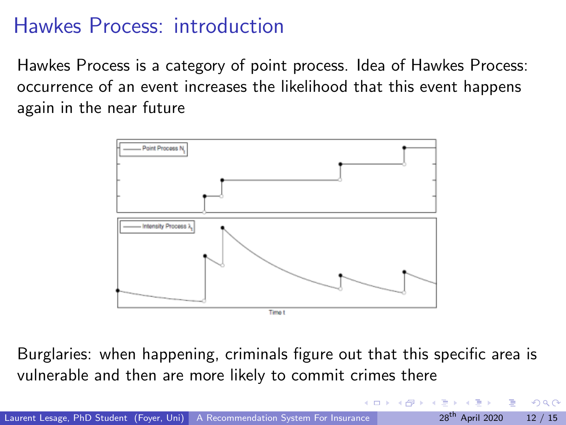# Hawkes Process: introduction

Hawkes Process is a category of point process. Idea of Hawkes Process: occurrence of an event increases the likelihood that this event happens again in the near future



Burglaries: when happening, criminals figure out that this specific area is vulnerable and then are more likely to commit crimes there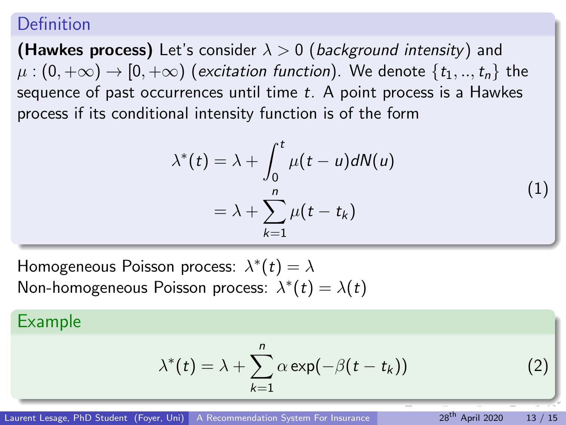#### <span id="page-26-0"></span>Definition

**(Hawkes process)** Let's consider  $\lambda > 0$  (background intensity) and  $\mu$ :  $(0, +\infty) \rightarrow [0, +\infty)$  (excitation function). We denote  $\{t_1, ..., t_n\}$  the sequence of past occurrences until time t. A point process is a Hawkes process if its conditional intensity function is of the form

$$
\lambda^*(t) = \lambda + \int_0^t \mu(t - u) dN(u)
$$
  
=  $\lambda + \sum_{k=1}^n \mu(t - t_k)$ 

Homogeneous Poisson process:  $\lambda^*(t) = \lambda$ Non-homogeneous Poisson process:  $\lambda^*(t) = \lambda(t)$ 

#### Example

$$
\lambda^*(t) = \lambda + \sum_{k=1}^n \alpha \exp(-\beta(t - t_k))
$$
 (2)

(1)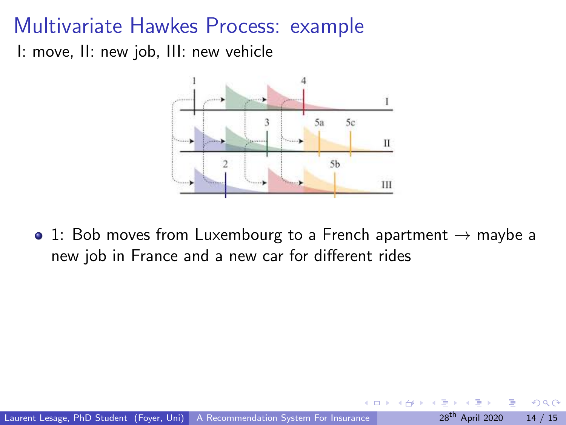<span id="page-27-0"></span>I: move, II: new job, III: new vehicle



• 1: Bob moves from Luxembourg to a French apartment  $\rightarrow$  maybe a new job in France and a new car for different rides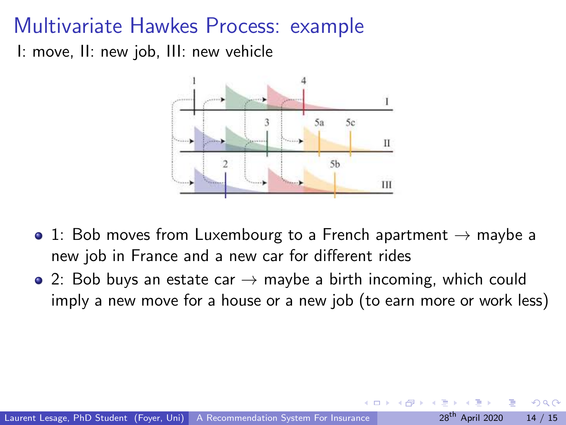I: move, II: new job, III: new vehicle



- 1: Bob moves from Luxembourg to a French apartment  $\rightarrow$  maybe a new job in France and a new car for different rides
- 2: Bob buys an estate car  $\rightarrow$  maybe a birth incoming, which could imply a new move for a house or a new job (to earn more or work less)

∽≏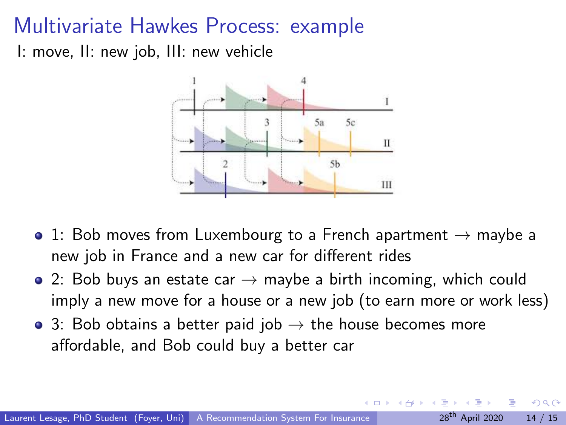<span id="page-29-0"></span>I: move, II: new job, III: new vehicle



- 1: Bob moves from Luxembourg to a French apartment  $\rightarrow$  maybe a new job in France and a new car for different rides
- 2: Bob buys an estate car  $\rightarrow$  maybe a birth incoming, which could imply a new move for a house or a new job (to earn more or work less)
- 3: Bob obtains a better paid job  $\rightarrow$  the house becomes more affordable, and Bob could buy a better car

∽≏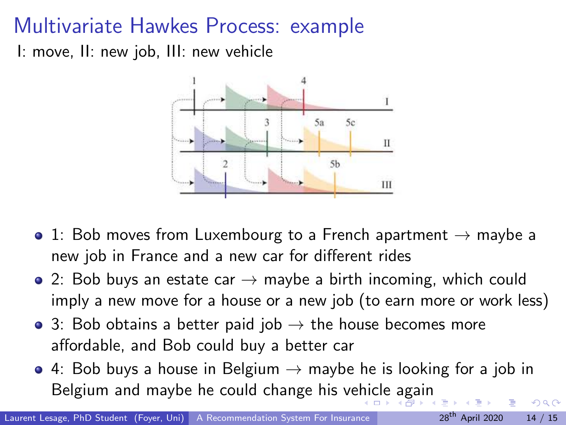<span id="page-30-0"></span>I: move, II: new job, III: new vehicle



- 1: Bob moves from Luxembourg to a French apartment  $\rightarrow$  maybe a new job in France and a new car for different rides
- 2: Bob buys an estate car  $\rightarrow$  maybe a birth incoming, which could imply a new move for a house or a new job (to earn more or work less)
- 3: Bob obtains a better paid job  $\rightarrow$  the house becomes more affordable, and Bob could buy a better car
- $\bullet$  4: Bob buys a house in Belgium  $\rightarrow$  maybe he is looking for a job in Belgium and maybe he could change his ve[hic](#page-29-0)[le](#page-31-0) [a](#page-26-0)[g](#page-27-0)[a](#page-30-0)[i](#page-31-0)[n](#page-14-0)  $\Omega$